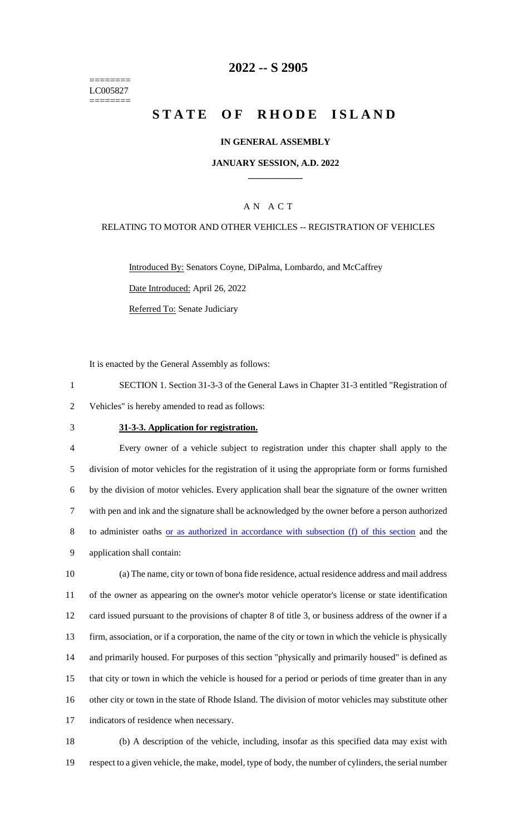======== LC005827 ========

## **2022 -- S 2905**

# **STATE OF RHODE ISLAND**

#### **IN GENERAL ASSEMBLY**

#### **JANUARY SESSION, A.D. 2022 \_\_\_\_\_\_\_\_\_\_\_\_**

### A N A C T

#### RELATING TO MOTOR AND OTHER VEHICLES -- REGISTRATION OF VEHICLES

Introduced By: Senators Coyne, DiPalma, Lombardo, and McCaffrey Date Introduced: April 26, 2022 Referred To: Senate Judiciary

It is enacted by the General Assembly as follows:

1 SECTION 1. Section 31-3-3 of the General Laws in Chapter 31-3 entitled "Registration of 2 Vehicles" is hereby amended to read as follows:

#### 3 **31-3-3. Application for registration.**

 Every owner of a vehicle subject to registration under this chapter shall apply to the division of motor vehicles for the registration of it using the appropriate form or forms furnished by the division of motor vehicles. Every application shall bear the signature of the owner written with pen and ink and the signature shall be acknowledged by the owner before a person authorized to administer oaths or as authorized in accordance with subsection (f) of this section and the application shall contain:

 (a) The name, city or town of bona fide residence, actual residence address and mail address of the owner as appearing on the owner's motor vehicle operator's license or state identification card issued pursuant to the provisions of chapter 8 of title 3, or business address of the owner if a firm, association, or if a corporation, the name of the city or town in which the vehicle is physically and primarily housed. For purposes of this section "physically and primarily housed" is defined as that city or town in which the vehicle is housed for a period or periods of time greater than in any other city or town in the state of Rhode Island. The division of motor vehicles may substitute other 17 indicators of residence when necessary.

18 (b) A description of the vehicle, including, insofar as this specified data may exist with 19 respect to a given vehicle, the make, model, type of body, the number of cylinders, the serial number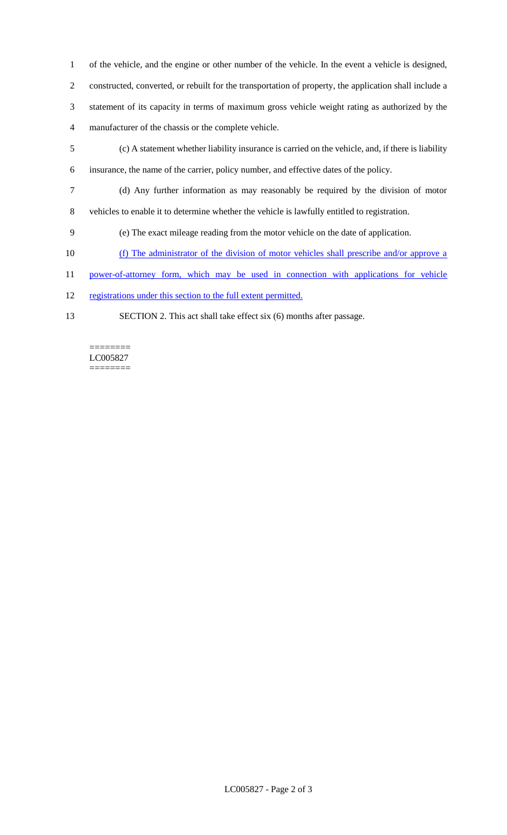of the vehicle, and the engine or other number of the vehicle. In the event a vehicle is designed, constructed, converted, or rebuilt for the transportation of property, the application shall include a

 statement of its capacity in terms of maximum gross vehicle weight rating as authorized by the manufacturer of the chassis or the complete vehicle.

- (c) A statement whether liability insurance is carried on the vehicle, and, if there is liability
- insurance, the name of the carrier, policy number, and effective dates of the policy.
- (d) Any further information as may reasonably be required by the division of motor vehicles to enable it to determine whether the vehicle is lawfully entitled to registration.
- (e) The exact mileage reading from the motor vehicle on the date of application.
- (f) The administrator of the division of motor vehicles shall prescribe and/or approve a
- power-of-attorney form, which may be used in connection with applications for vehicle
- 12 registrations under this section to the full extent permitted.
- 

SECTION 2. This act shall take effect six (6) months after passage.

======== LC005827 ========